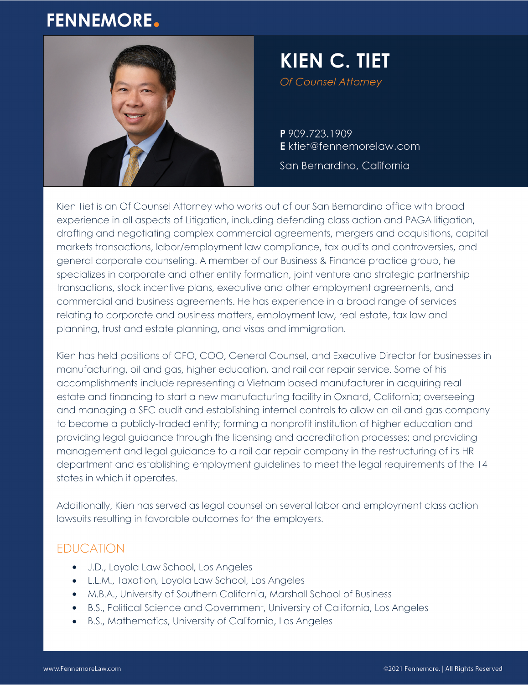# **FENNEMORE.**



# **KIEN C. TIET** Of Counsel Attorney

P 909.723.1909

E ktiet@fennemorelaw.com

San Bernardino, California

Kien Tiet is an Of Counsel Attorney who works out of our San Bernardino office with broad experience in all aspects of Litigation, including defending class action and PAGA litigation, drafting and negotiating complex commercial agreements, mergers and acquisitions, capital markets transactions, labor/employment law compliance, tax audits and controversies, and general corporate counseling. A member of our Business & Finance practice group, he specializes in corporate and other entity formation, joint venture and strategic partnership transactions, stock incentive plans, executive and other employment agreements, and commercial and business agreements. He has experience in a broad range of services relating to corporate and business matters, employment law, real estate, tax law and planning, trust and estate planning, and visas and immigration.

Kien has held positions of CFO, COO, General Counsel, and Executive Director for businesses in manufacturing, oil and gas, higher education, and rail car repair service. Some of his accomplishments include representing a Vietnam based manufacturer in acquiring real estate and financing to start a new manufacturing facility in Oxnard, California; overseeing and managing a SEC audit and establishing internal controls to allow an oil and gas company to become a publicly-traded entity; forming a nonprofit institution of higher education and providing legal guidance through the licensing and accreditation processes; and providing management and legal guidance to a rail car repair company in the restructuring of its HR department and establishing employment guidelines to meet the legal requirements of the 14 states in which it operates.

Additionally, Kien has served as legal counsel on several labor and employment class action lawsuits resulting in favorable outcomes for the employers.

## EDUCATION

- J.D., Loyola Law School, Los Angeles
- L.L.M., Taxation, Loyola Law School, Los Angeles
- M.B.A., University of Southern California, Marshall School of Business
- B.S., Political Science and Government, University of California, Los Angeles
- B.S., Mathematics, University of California, Los Angeles